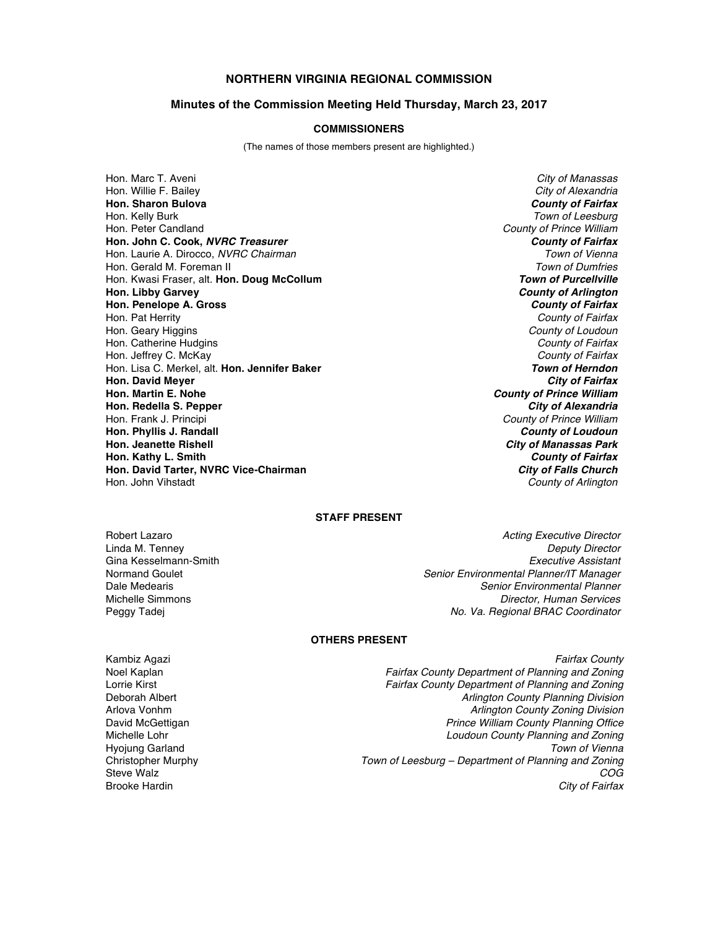# **NORTHERN VIRGINIA REGIONAL COMMISSION**

### **Minutes of the Commission Meeting Held Thursday, March 23, 2017**

### **COMMISSIONERS**

(The names of those members present are highlighted.)

Hon. Marc T. Aveni *City of Manassas* Hon. Willie F. Bailey *City of Alexandria* **Hon. Sharon Bulova** *County of Fairfax* Hon. Kelly Burk *Town of Leesburg* Hon. Peter Candland *County of Prince William* **Hon. John C. Cook,** *NVRC Treasurer County of Fairfax* Hon. Laurie A. Dirocco, *NVRC Chairman Town of Vienna* Hon. Gerald M. Foreman II *Town of Dumfries* Hon. Kwasi Fraser, alt. Hon. Doug McCollum **Hon. Libby Garvey** *County of Arlington* **Hon. Penelope A. Gross** *County of Fairfax* Hon. Pat Herrity *County of Fairfax* Hon. Geary Higgins *County of Loudoun* Hon. Catherine Hudgins *County of Fairfax* Hon. Jeffrey C. McKay *County of Fairfax* Hon. Lisa C. Merkel, alt. **Hon. Jennifer Baker** *Town of Herndon* **Hon. David Meyer<br>Hon. Martin E. Nohe Hon. Redella S. Pepper** *City of Alexandria* Hon. Frank J. Principi **Hon. Phyllis J. Randall** *County of Loudoun* **Hon. Kathy L. Smith** *County of Fairfax* **Hon. David Tarter, NVRC Vice-Chairman City of Falls Church**<br>Hon. John Vihstadt **County of Arlington** 

**County of Prince William City of Manassas Park County of Arlington** 

## **STAFF PRESENT**

Robert Lazaro *Acting Executive Director* **Deputy Director** Gina Kesselmann-Smith *Executive Assistant* Normand Goulet *Senior Environmental Planner/IT Manager* Dale Medearis *Senior Environmental Planner* **Director, Human Services** Peggy Tadej *No. Va. Regional BRAC Coordinator*

### **OTHERS PRESENT**

Hyojung Garland<br>Christopher Murphy

Kambiz Agazi *Fairfax County* Noel Kaplan *Fairfax County Department of Planning and Zoning* Lorrie Kirst *Fairfax County Department of Planning and Zoning* Deborah Albert *Arlington County Planning Division* **Arlington County Zoning Division** David McGettigan *Prince William County Planning Office* Michelle Lohr *Loudoun County Planning and Zoning* Christopher Murphy *Town of Leesburg – Department of Planning and Zoning* Steve Walz *COG* Brooke Hardin *City of Fairfax*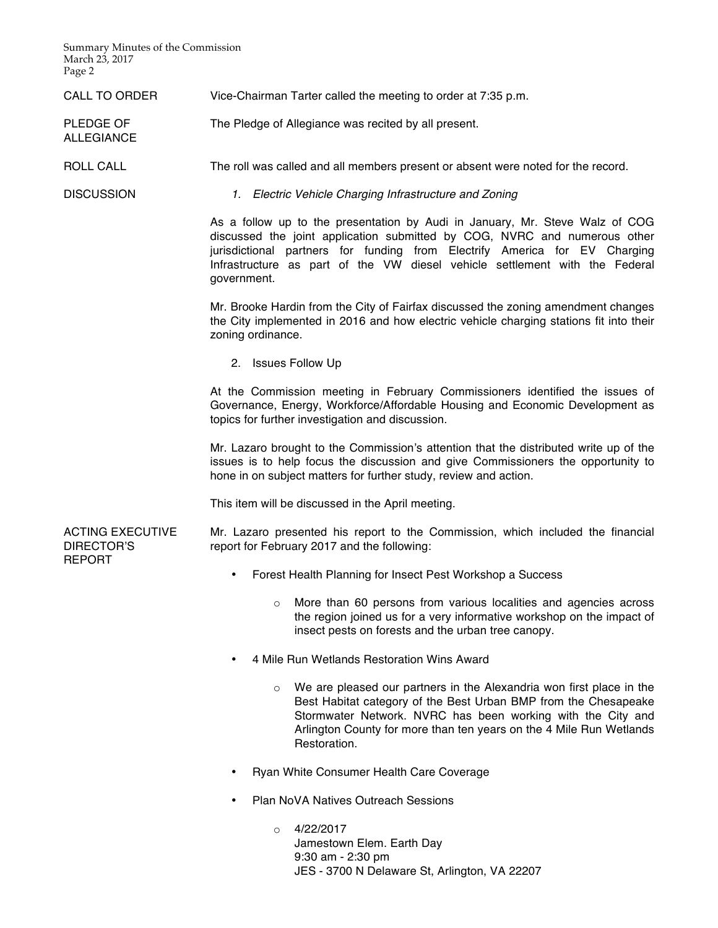Summary Minutes of the Commission March 23, 2017 Page 2

CALL TO ORDER Vice-Chairman Tarter called the meeting to order at 7:35 p.m.

PLEDGE OF The Pledge of Allegiance was recited by all present.

ROLL CALL The roll was called and all members present or absent were noted for the record.

ALLEGIANCE

DISCUSSION *1. Electric Vehicle Charging Infrastructure and Zoning*

As a follow up to the presentation by Audi in January, Mr. Steve Walz of COG discussed the joint application submitted by COG, NVRC and numerous other jurisdictional partners for funding from Electrify America for EV Charging Infrastructure as part of the VW diesel vehicle settlement with the Federal government.

Mr. Brooke Hardin from the City of Fairfax discussed the zoning amendment changes the City implemented in 2016 and how electric vehicle charging stations fit into their zoning ordinance.

2. Issues Follow Up

At the Commission meeting in February Commissioners identified the issues of Governance, Energy, Workforce/Affordable Housing and Economic Development as topics for further investigation and discussion.

Mr. Lazaro brought to the Commission's attention that the distributed write up of the issues is to help focus the discussion and give Commissioners the opportunity to hone in on subject matters for further study, review and action.

This item will be discussed in the April meeting.

ACTING EXECUTIVE DIRECTOR'S REPORT

Mr. Lazaro presented his report to the Commission, which included the financial report for February 2017 and the following:

- Forest Health Planning for Insect Pest Workshop a Success
	- $\circ$  More than 60 persons from various localities and agencies across the region joined us for a very informative workshop on the impact of insect pests on forests and the urban tree canopy.
- 4 Mile Run Wetlands Restoration Wins Award
	- o We are pleased our partners in the Alexandria won first place in the Best Habitat category of the Best Urban BMP from the Chesapeake Stormwater Network. NVRC has been working with the City and Arlington County for more than ten years on the 4 Mile Run Wetlands Restoration.
- Ryan White Consumer Health Care Coverage
- Plan NoVA Natives Outreach Sessions

 $O = 4/22/2017$ Jamestown Elem. Earth Day 9:30 am - 2:30 pm JES - 3700 N Delaware St, Arlington, VA 22207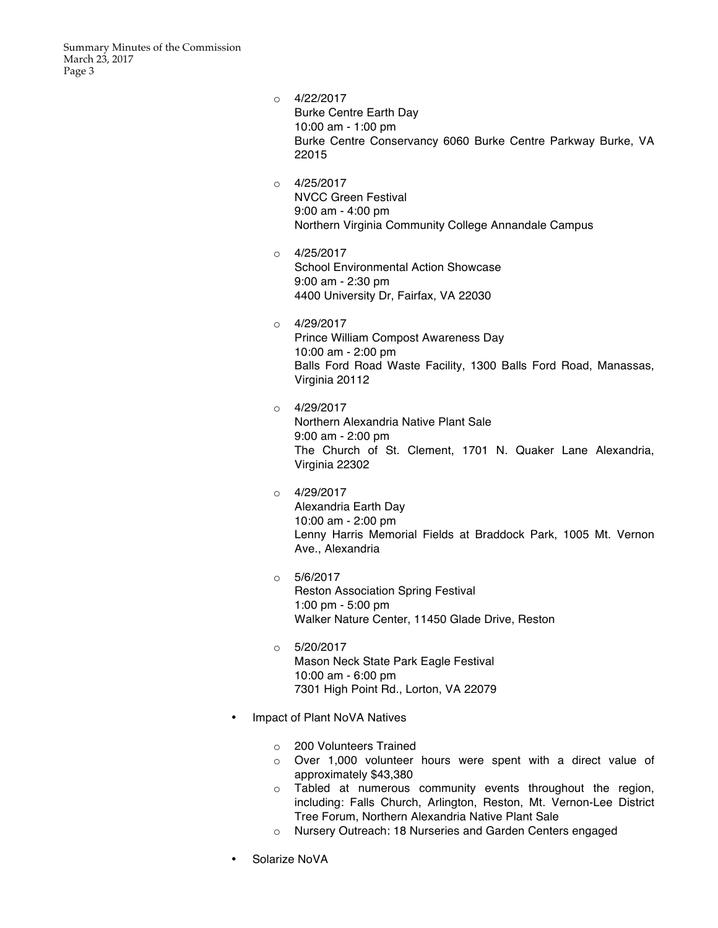Summary Minutes of the Commission March 23, 2017 Page 3

| $\circ$ | 4/22/2017                                                    |
|---------|--------------------------------------------------------------|
|         | <b>Burke Centre Earth Day</b>                                |
|         | 10:00 am - 1:00 pm                                           |
|         | Burke Centre Conservancy 6060 Burke Centre Parkway Burke, VA |
|         | 22015                                                        |

 $O = 4/25/2017$ NVCC Green Festival 9:00 am - 4:00 pm Northern Virginia Community College Annandale Campus

 $O = 4/25/2017$ School Environmental Action Showcase 9:00 am - 2:30 pm 4400 University Dr, Fairfax, VA 22030

o 4/29/2017 Prince William Compost Awareness Day 10:00 am - 2:00 pm Balls Ford Road Waste Facility, 1300 Balls Ford Road, Manassas, Virginia 20112

o 4/29/2017 Northern Alexandria Native Plant Sale 9:00 am - 2:00 pm The Church of St. Clement, 1701 N. Quaker Lane Alexandria, Virginia 22302

- $O = 4/29/2017$ Alexandria Earth Day 10:00 am - 2:00 pm Lenny Harris Memorial Fields at Braddock Park, 1005 Mt. Vernon Ave., Alexandria
- $\circ$  5/6/2017 Reston Association Spring Festival 1:00 pm - 5:00 pm Walker Nature Center, 11450 Glade Drive, Reston
- $O = 5/20/2017$ Mason Neck State Park Eagle Festival 10:00 am - 6:00 pm 7301 High Point Rd., Lorton, VA 22079
- Impact of Plant NoVA Natives
	- o 200 Volunteers Trained
	- o Over 1,000 volunteer hours were spent with a direct value of approximately \$43,380
	- o Tabled at numerous community events throughout the region, including: Falls Church, Arlington, Reston, Mt. Vernon-Lee District Tree Forum, Northern Alexandria Native Plant Sale
	- o Nursery Outreach: 18 Nurseries and Garden Centers engaged
- Solarize NoVA